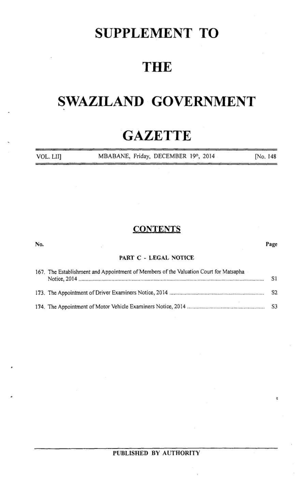## **SUPPLEMENT TO**

## **THE**

# SWAZILAND GOVERNMENT

# **GAZETTE**

| VOL. LII] | MBABANE, Friday, DECEMBER 19th, 2014 | No. 148 |
|-----------|--------------------------------------|---------|
|           |                                      |         |

## **CONTENTS**

| No. |                                                                                       | Page           |
|-----|---------------------------------------------------------------------------------------|----------------|
|     | PART C - LEGAL NOTICE                                                                 |                |
|     | 167. The Establishment and Appointment of Members of the Valuation Court for Matsapha | S1             |
|     |                                                                                       | S <sub>2</sub> |
|     |                                                                                       |                |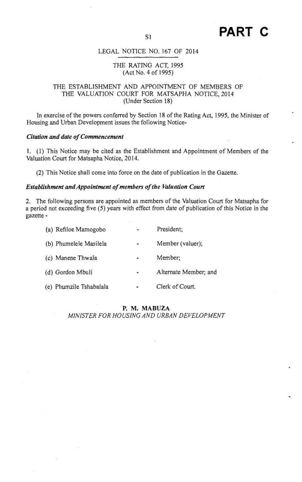## LEGAL NOTICE NO. <sup>167</sup> OF 2014

### THE RATING ACT, 1995 (Act No. 4 of 1995)

## THE ESTABLISHMENT AND APPOINTMENT OF MEMBERS OF THE VALUATION COURT FOR MATSAPHA NOTICE, 2014 (Under Section 18)

In exercise of the powers conferred by Section 18 of the Rating Act, 1995, the Minister of Housing and Urban Development issues the following Notice-

### Citation and date of Commencement

1. (I) This Notice may be cited as the Establishment and Appointment of Members of the Valuation Court for Matsapha Notice, 2014.

(2) This Notice shall come into force on the date of publication in the Gazette.

## Establishment and Appointment of members of the Valuation Court

2. The following persons are appointed as membersof the Valuation Court for Matsapha for a period not exceeding five (5) years with effect from date of publication of this Notice in the gazette -

| (a) Refiloe Mamogobo    |                | President:            |
|-------------------------|----------------|-----------------------|
| (b) Phumelele Masilela  | $\bullet$      | Member (valuer);      |
| (c) Manene Thwala       | $\blacksquare$ | Member;               |
| (d) Gordon Mbuli        |                | Alternate Member; and |
| (e) Phumzile Tshabalala | ٠              | Clerk of Court.       |

## P. M. MABUZA

MINISTER FOR HOUSING AND URBAN DEVELOPMENT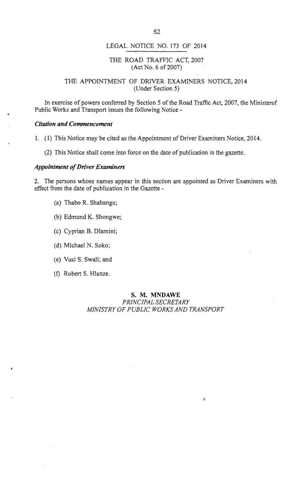## LEGAL NOTICE NO. <sup>173</sup> OF 2014

## THE ROAD TRAFFIC ACT, <sup>2007</sup> (Act No. 6 of 2007)

## THE APPOINTMENT OF DRIVER EXAMINERS NOTICE, 2014 (Under Section 5)

In exercise of powers conferred by Section 5 of the Road Traffic Act, 2007, the Ministerof Public Works and Transport issues the following Notice -

#### Citation and Commencement

1. (1) This Notice may be cited as the Appointment of Driver Examiners Notice, 2014.

(2) This Notice shall come into force on the date of publication in the gazette.

#### Appointment of Driver Examiners

2. The persons whose names appear in this section are appointed as Driver Examiners with effect from the date of publication in the Gazette -

- (a) Thabo R. Shabangu;
- (b) Edmund K. Shongwe;
- (c) Cyprian B. Dlamini;
- (d) Michael N. Soko;
- (e) Vusi S. Swali; and
- (f} Robert S. Hlanze.

#### S. M. MNDAWE PRINCIPAL SECRETARY

 $\ddot{\mathrm{c}}$ 

## MINISTRY OF PUBLIC WORKS AND TRANSPORT